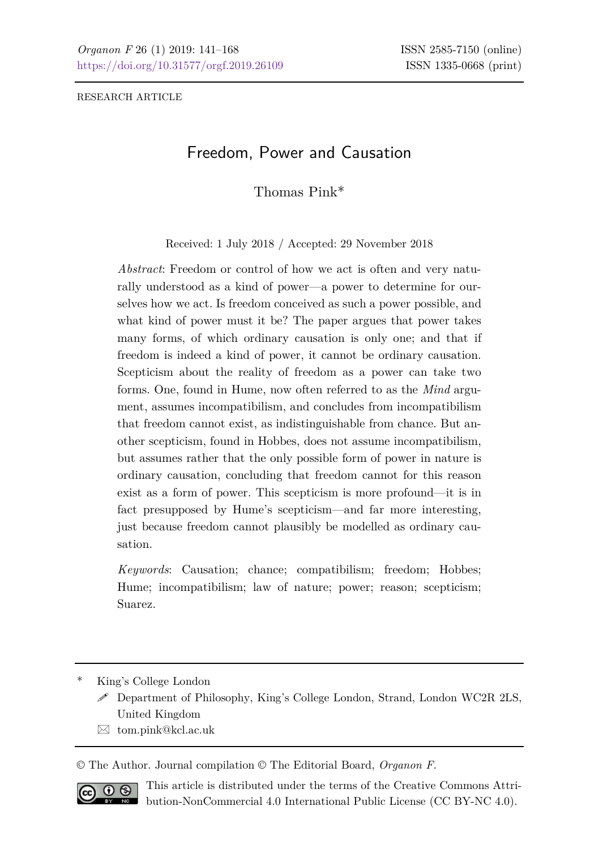RESEARCH ARTICLE

# Freedom, Power and Causation

Thomas Pink\*

Received: 1 July 2018 / Accepted: 29 November 2018

*Abstract*: Freedom or control of how we act is often and very naturally understood as a kind of power—a power to determine for ourselves how we act. Is freedom conceived as such a power possible, and what kind of power must it be? The paper argues that power takes many forms, of which ordinary causation is only one; and that if freedom is indeed a kind of power, it cannot be ordinary causation. Scepticism about the reality of freedom as a power can take two forms. One, found in Hume, now often referred to as the *Mind* argument, assumes incompatibilism, and concludes from incompatibilism that freedom cannot exist, as indistinguishable from chance. But another scepticism, found in Hobbes, does not assume incompatibilism, but assumes rather that the only possible form of power in nature is ordinary causation, concluding that freedom cannot for this reason exist as a form of power. This scepticism is more profound—it is in fact presupposed by Hume's scepticism—and far more interesting, just because freedom cannot plausibly be modelled as ordinary causation.

*Keywords*: Causation; chance; compatibilism; freedom; Hobbes; Hume; incompatibilism; law of nature; power; reason; scepticism; Suarez.

King's College London

- $\mathscr{P}$  Department of Philosophy, King's College London, Strand, London WC2R 2LS, United Kingdom
- tom.pink@kcl.ac.uk

© The Author. Journal compilation © The Editorial Board, *Organon F*.



This article is distributed under the terms of the Creative Commons Attribution-NonCommercial 4.0 International Public License (CC BY-NC 4.0).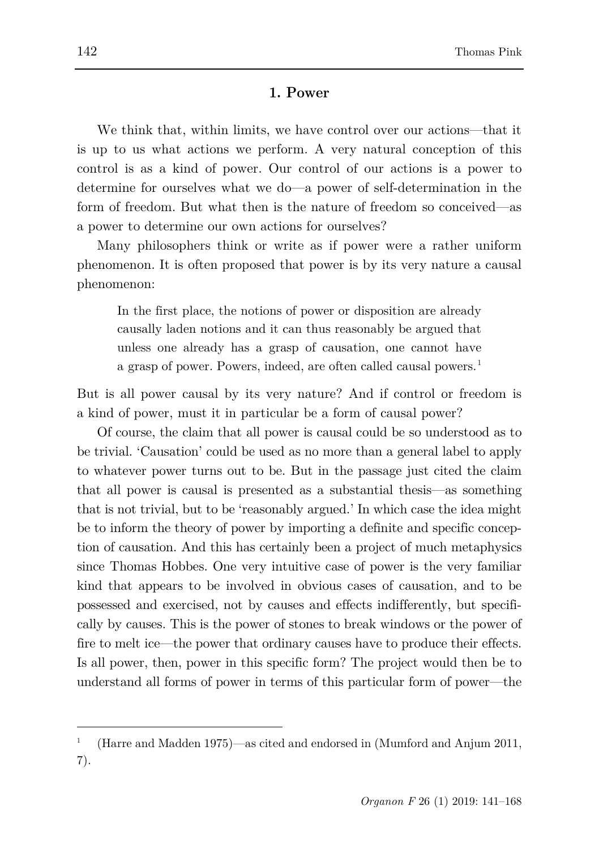# **1. Power**

We think that, within limits, we have control over our actions—that it is up to us what actions we perform. A very natural conception of this control is as a kind of power. Our control of our actions is a power to determine for ourselves what we do—a power of self-determination in the form of freedom. But what then is the nature of freedom so conceived—as a power to determine our own actions for ourselves?

Many philosophers think or write as if power were a rather uniform phenomenon. It is often proposed that power is by its very nature a causal phenomenon:

In the first place, the notions of power or disposition are already causally laden notions and it can thus reasonably be argued that unless one already has a grasp of causation, one cannot have a grasp of power. Powers, indeed, are often called causal powers.<sup>[1](#page-1-0)</sup>

But is all power causal by its very nature? And if control or freedom is a kind of power, must it in particular be a form of causal power?

Of course, the claim that all power is causal could be so understood as to be trivial. 'Causation' could be used as no more than a general label to apply to whatever power turns out to be. But in the passage just cited the claim that all power is causal is presented as a substantial thesis—as something that is not trivial, but to be 'reasonably argued.' In which case the idea might be to inform the theory of power by importing a definite and specific conception of causation. And this has certainly been a project of much metaphysics since Thomas Hobbes. One very intuitive case of power is the very familiar kind that appears to be involved in obvious cases of causation, and to be possessed and exercised, not by causes and effects indifferently, but specifically by causes. This is the power of stones to break windows or the power of fire to melt ice—the power that ordinary causes have to produce their effects. Is all power, then, power in this specific form? The project would then be to understand all forms of power in terms of this particular form of power—the

l

<span id="page-1-0"></span><sup>1</sup> (Harre and Madden 1975)—as cited and endorsed in (Mumford and Anjum 2011, 7).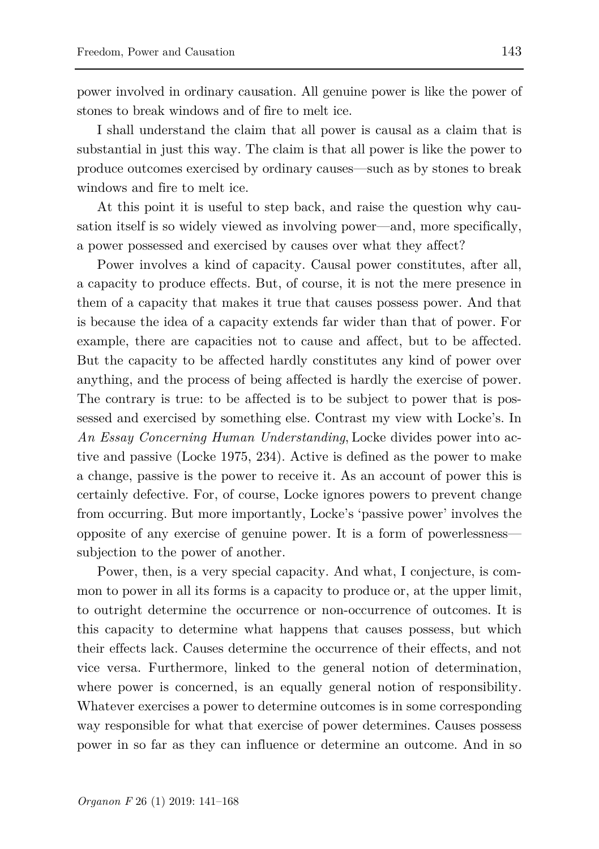power involved in ordinary causation. All genuine power is like the power of stones to break windows and of fire to melt ice.

I shall understand the claim that all power is causal as a claim that is substantial in just this way. The claim is that all power is like the power to produce outcomes exercised by ordinary causes—such as by stones to break windows and fire to melt ice.

At this point it is useful to step back, and raise the question why causation itself is so widely viewed as involving power—and, more specifically, a power possessed and exercised by causes over what they affect?

Power involves a kind of capacity. Causal power constitutes, after all, a capacity to produce effects. But, of course, it is not the mere presence in them of a capacity that makes it true that causes possess power. And that is because the idea of a capacity extends far wider than that of power. For example, there are capacities not to cause and affect, but to be affected. But the capacity to be affected hardly constitutes any kind of power over anything, and the process of being affected is hardly the exercise of power. The contrary is true: to be affected is to be subject to power that is possessed and exercised by something else. Contrast my view with Locke's. In *An Essay Concerning Human Understanding*, Locke divides power into active and passive (Locke 1975, 234). Active is defined as the power to make a change, passive is the power to receive it. As an account of power this is certainly defective. For, of course, Locke ignores powers to prevent change from occurring. But more importantly, Locke's 'passive power' involves the opposite of any exercise of genuine power. It is a form of powerlessness subjection to the power of another.

Power, then, is a very special capacity. And what, I conjecture, is common to power in all its forms is a capacity to produce or, at the upper limit, to outright determine the occurrence or non-occurrence of outcomes. It is this capacity to determine what happens that causes possess, but which their effects lack. Causes determine the occurrence of their effects, and not vice versa. Furthermore, linked to the general notion of determination, where power is concerned, is an equally general notion of responsibility. Whatever exercises a power to determine outcomes is in some corresponding way responsible for what that exercise of power determines. Causes possess power in so far as they can influence or determine an outcome. And in so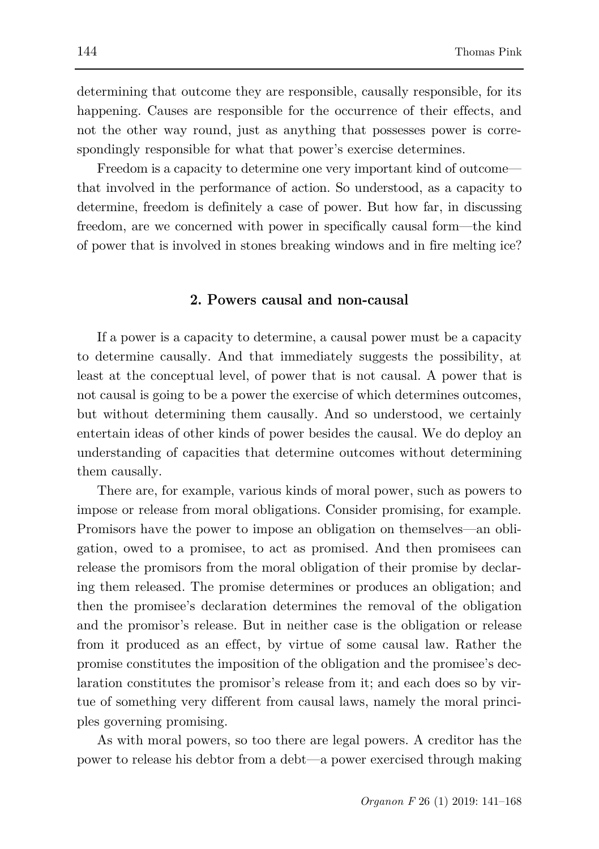determining that outcome they are responsible, causally responsible, for its happening. Causes are responsible for the occurrence of their effects, and not the other way round, just as anything that possesses power is correspondingly responsible for what that power's exercise determines.

Freedom is a capacity to determine one very important kind of outcome that involved in the performance of action. So understood, as a capacity to determine, freedom is definitely a case of power. But how far, in discussing freedom, are we concerned with power in specifically causal form—the kind of power that is involved in stones breaking windows and in fire melting ice?

## **2. Powers causal and non-causal**

If a power is a capacity to determine, a causal power must be a capacity to determine causally. And that immediately suggests the possibility, at least at the conceptual level, of power that is not causal. A power that is not causal is going to be a power the exercise of which determines outcomes, but without determining them causally. And so understood, we certainly entertain ideas of other kinds of power besides the causal. We do deploy an understanding of capacities that determine outcomes without determining them causally.

There are, for example, various kinds of moral power, such as powers to impose or release from moral obligations. Consider promising, for example. Promisors have the power to impose an obligation on themselves—an obligation, owed to a promisee, to act as promised. And then promisees can release the promisors from the moral obligation of their promise by declaring them released. The promise determines or produces an obligation; and then the promisee's declaration determines the removal of the obligation and the promisor's release. But in neither case is the obligation or release from it produced as an effect, by virtue of some causal law. Rather the promise constitutes the imposition of the obligation and the promisee's declaration constitutes the promisor's release from it; and each does so by virtue of something very different from causal laws, namely the moral principles governing promising.

As with moral powers, so too there are legal powers. A creditor has the power to release his debtor from a debt—a power exercised through making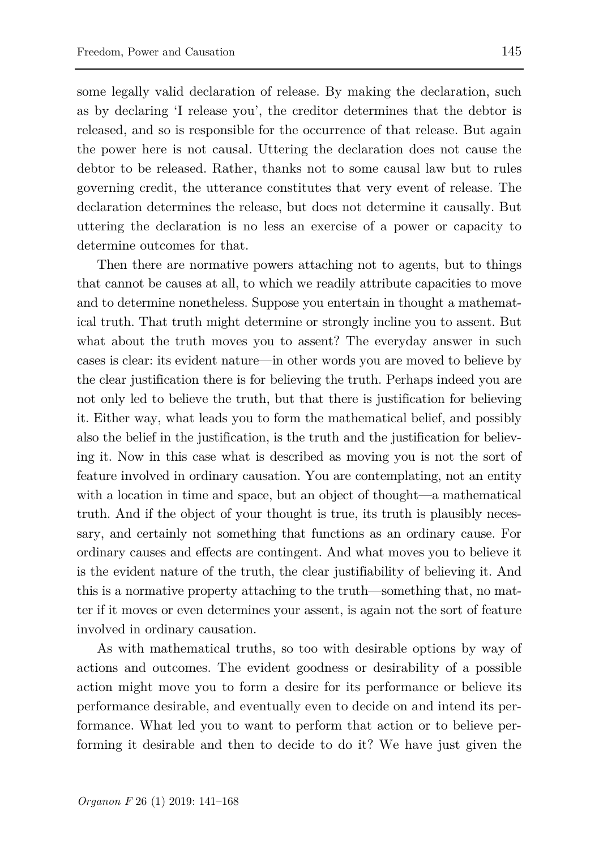some legally valid declaration of release. By making the declaration, such as by declaring 'I release you', the creditor determines that the debtor is released, and so is responsible for the occurrence of that release. But again the power here is not causal. Uttering the declaration does not cause the debtor to be released. Rather, thanks not to some causal law but to rules governing credit, the utterance constitutes that very event of release. The declaration determines the release, but does not determine it causally. But uttering the declaration is no less an exercise of a power or capacity to determine outcomes for that.

Then there are normative powers attaching not to agents, but to things that cannot be causes at all, to which we readily attribute capacities to move and to determine nonetheless. Suppose you entertain in thought a mathematical truth. That truth might determine or strongly incline you to assent. But what about the truth moves you to assent? The everyday answer in such cases is clear: its evident nature—in other words you are moved to believe by the clear justification there is for believing the truth. Perhaps indeed you are not only led to believe the truth, but that there is justification for believing it. Either way, what leads you to form the mathematical belief, and possibly also the belief in the justification, is the truth and the justification for believing it. Now in this case what is described as moving you is not the sort of feature involved in ordinary causation. You are contemplating, not an entity with a location in time and space, but an object of thought—a mathematical truth. And if the object of your thought is true, its truth is plausibly necessary, and certainly not something that functions as an ordinary cause. For ordinary causes and effects are contingent. And what moves you to believe it is the evident nature of the truth, the clear justifiability of believing it. And this is a normative property attaching to the truth—something that, no matter if it moves or even determines your assent, is again not the sort of feature involved in ordinary causation.

As with mathematical truths, so too with desirable options by way of actions and outcomes. The evident goodness or desirability of a possible action might move you to form a desire for its performance or believe its performance desirable, and eventually even to decide on and intend its performance. What led you to want to perform that action or to believe performing it desirable and then to decide to do it? We have just given the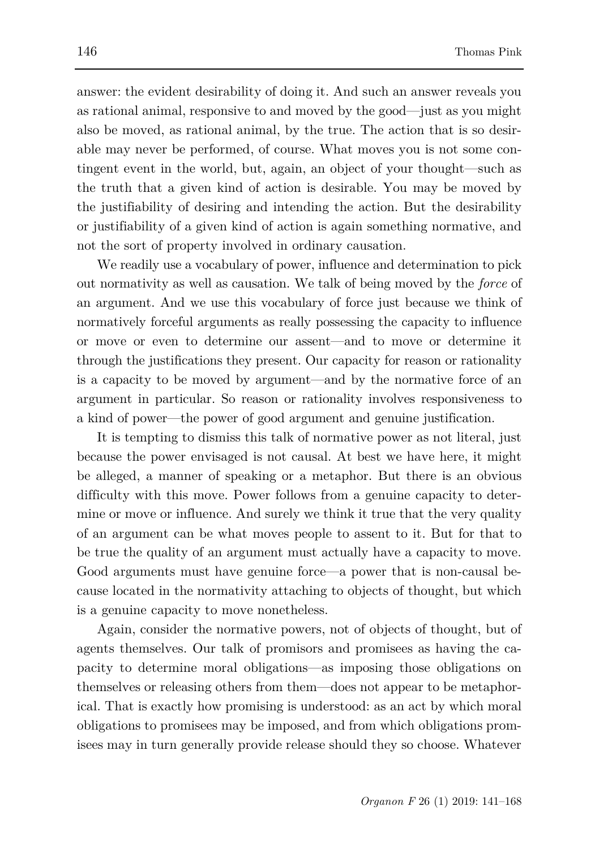answer: the evident desirability of doing it. And such an answer reveals you as rational animal, responsive to and moved by the good—just as you might also be moved, as rational animal, by the true. The action that is so desirable may never be performed, of course. What moves you is not some contingent event in the world, but, again, an object of your thought—such as the truth that a given kind of action is desirable. You may be moved by the justifiability of desiring and intending the action. But the desirability or justifiability of a given kind of action is again something normative, and not the sort of property involved in ordinary causation.

We readily use a vocabulary of power, influence and determination to pick out normativity as well as causation. We talk of being moved by the *force* of an argument. And we use this vocabulary of force just because we think of normatively forceful arguments as really possessing the capacity to influence or move or even to determine our assent—and to move or determine it through the justifications they present. Our capacity for reason or rationality is a capacity to be moved by argument—and by the normative force of an argument in particular. So reason or rationality involves responsiveness to a kind of power—the power of good argument and genuine justification.

It is tempting to dismiss this talk of normative power as not literal, just because the power envisaged is not causal. At best we have here, it might be alleged, a manner of speaking or a metaphor. But there is an obvious difficulty with this move. Power follows from a genuine capacity to determine or move or influence. And surely we think it true that the very quality of an argument can be what moves people to assent to it. But for that to be true the quality of an argument must actually have a capacity to move. Good arguments must have genuine force—a power that is non-causal because located in the normativity attaching to objects of thought, but which is a genuine capacity to move nonetheless.

Again, consider the normative powers, not of objects of thought, but of agents themselves. Our talk of promisors and promisees as having the capacity to determine moral obligations—as imposing those obligations on themselves or releasing others from them—does not appear to be metaphorical. That is exactly how promising is understood: as an act by which moral obligations to promisees may be imposed, and from which obligations promisees may in turn generally provide release should they so choose. Whatever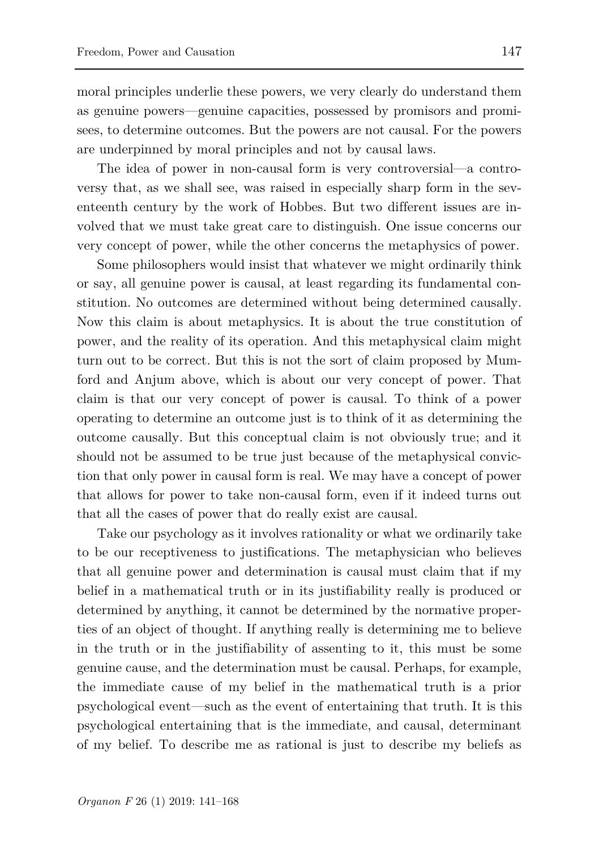moral principles underlie these powers, we very clearly do understand them as genuine powers—genuine capacities, possessed by promisors and promisees, to determine outcomes. But the powers are not causal. For the powers are underpinned by moral principles and not by causal laws.

The idea of power in non-causal form is very controversial—a controversy that, as we shall see, was raised in especially sharp form in the seventeenth century by the work of Hobbes. But two different issues are involved that we must take great care to distinguish. One issue concerns our very concept of power, while the other concerns the metaphysics of power.

Some philosophers would insist that whatever we might ordinarily think or say, all genuine power is causal, at least regarding its fundamental constitution. No outcomes are determined without being determined causally. Now this claim is about metaphysics. It is about the true constitution of power, and the reality of its operation. And this metaphysical claim might turn out to be correct. But this is not the sort of claim proposed by Mumford and Anjum above, which is about our very concept of power. That claim is that our very concept of power is causal. To think of a power operating to determine an outcome just is to think of it as determining the outcome causally. But this conceptual claim is not obviously true; and it should not be assumed to be true just because of the metaphysical conviction that only power in causal form is real. We may have a concept of power that allows for power to take non-causal form, even if it indeed turns out that all the cases of power that do really exist are causal.

Take our psychology as it involves rationality or what we ordinarily take to be our receptiveness to justifications. The metaphysician who believes that all genuine power and determination is causal must claim that if my belief in a mathematical truth or in its justifiability really is produced or determined by anything, it cannot be determined by the normative properties of an object of thought. If anything really is determining me to believe in the truth or in the justifiability of assenting to it, this must be some genuine cause, and the determination must be causal. Perhaps, for example, the immediate cause of my belief in the mathematical truth is a prior psychological event—such as the event of entertaining that truth. It is this psychological entertaining that is the immediate, and causal, determinant of my belief. To describe me as rational is just to describe my beliefs as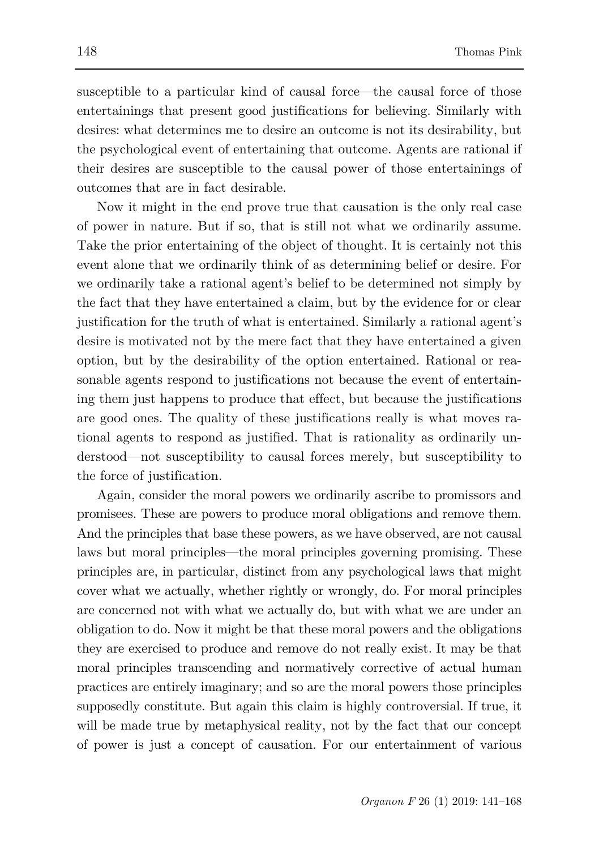susceptible to a particular kind of causal force—the causal force of those entertainings that present good justifications for believing. Similarly with desires: what determines me to desire an outcome is not its desirability, but the psychological event of entertaining that outcome. Agents are rational if their desires are susceptible to the causal power of those entertainings of outcomes that are in fact desirable.

Now it might in the end prove true that causation is the only real case of power in nature. But if so, that is still not what we ordinarily assume. Take the prior entertaining of the object of thought. It is certainly not this event alone that we ordinarily think of as determining belief or desire. For we ordinarily take a rational agent's belief to be determined not simply by the fact that they have entertained a claim, but by the evidence for or clear justification for the truth of what is entertained. Similarly a rational agent's desire is motivated not by the mere fact that they have entertained a given option, but by the desirability of the option entertained. Rational or reasonable agents respond to justifications not because the event of entertaining them just happens to produce that effect, but because the justifications are good ones. The quality of these justifications really is what moves rational agents to respond as justified. That is rationality as ordinarily understood—not susceptibility to causal forces merely, but susceptibility to the force of justification.

Again, consider the moral powers we ordinarily ascribe to promissors and promisees. These are powers to produce moral obligations and remove them. And the principles that base these powers, as we have observed, are not causal laws but moral principles—the moral principles governing promising. These principles are, in particular, distinct from any psychological laws that might cover what we actually, whether rightly or wrongly, do. For moral principles are concerned not with what we actually do, but with what we are under an obligation to do. Now it might be that these moral powers and the obligations they are exercised to produce and remove do not really exist. It may be that moral principles transcending and normatively corrective of actual human practices are entirely imaginary; and so are the moral powers those principles supposedly constitute. But again this claim is highly controversial. If true, it will be made true by metaphysical reality, not by the fact that our concept of power is just a concept of causation. For our entertainment of various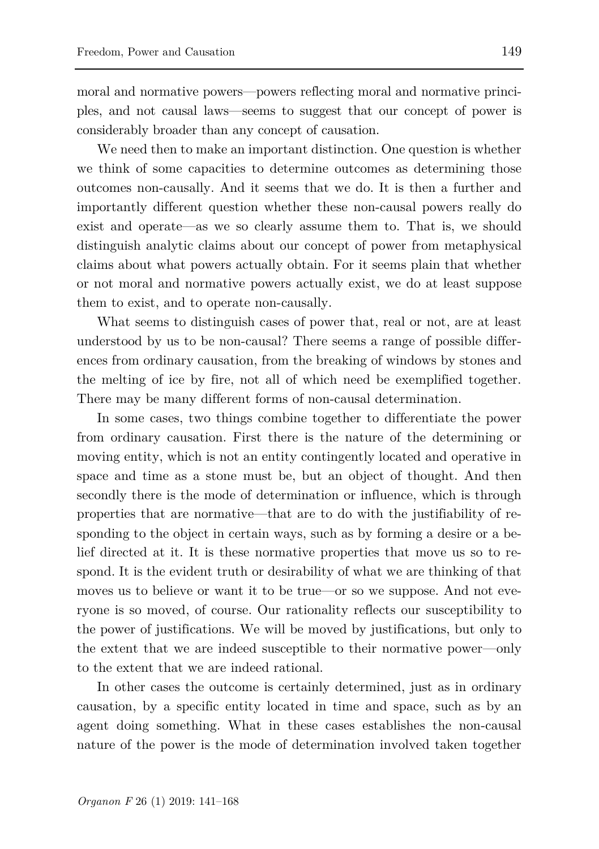moral and normative powers—powers reflecting moral and normative principles, and not causal laws—seems to suggest that our concept of power is considerably broader than any concept of causation.

We need then to make an important distinction. One question is whether we think of some capacities to determine outcomes as determining those outcomes non-causally. And it seems that we do. It is then a further and importantly different question whether these non-causal powers really do exist and operate—as we so clearly assume them to. That is, we should distinguish analytic claims about our concept of power from metaphysical claims about what powers actually obtain. For it seems plain that whether or not moral and normative powers actually exist, we do at least suppose them to exist, and to operate non-causally.

What seems to distinguish cases of power that, real or not, are at least understood by us to be non-causal? There seems a range of possible differences from ordinary causation, from the breaking of windows by stones and the melting of ice by fire, not all of which need be exemplified together. There may be many different forms of non-causal determination.

In some cases, two things combine together to differentiate the power from ordinary causation. First there is the nature of the determining or moving entity, which is not an entity contingently located and operative in space and time as a stone must be, but an object of thought. And then secondly there is the mode of determination or influence, which is through properties that are normative—that are to do with the justifiability of responding to the object in certain ways, such as by forming a desire or a belief directed at it. It is these normative properties that move us so to respond. It is the evident truth or desirability of what we are thinking of that moves us to believe or want it to be true—or so we suppose. And not everyone is so moved, of course. Our rationality reflects our susceptibility to the power of justifications. We will be moved by justifications, but only to the extent that we are indeed susceptible to their normative power—only to the extent that we are indeed rational.

In other cases the outcome is certainly determined, just as in ordinary causation, by a specific entity located in time and space, such as by an agent doing something. What in these cases establishes the non-causal nature of the power is the mode of determination involved taken together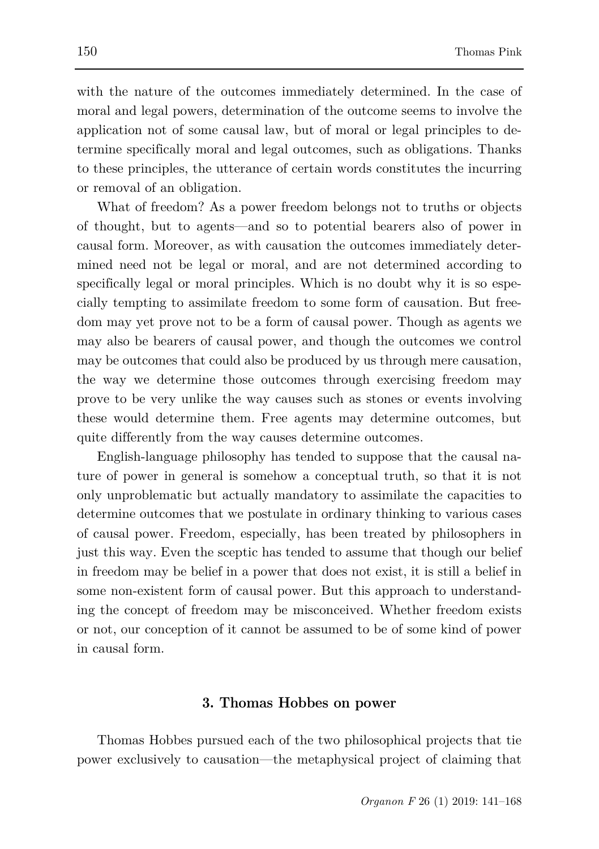with the nature of the outcomes immediately determined. In the case of moral and legal powers, determination of the outcome seems to involve the application not of some causal law, but of moral or legal principles to determine specifically moral and legal outcomes, such as obligations. Thanks to these principles, the utterance of certain words constitutes the incurring or removal of an obligation.

What of freedom? As a power freedom belongs not to truths or objects of thought, but to agents—and so to potential bearers also of power in causal form. Moreover, as with causation the outcomes immediately determined need not be legal or moral, and are not determined according to specifically legal or moral principles. Which is no doubt why it is so especially tempting to assimilate freedom to some form of causation. But freedom may yet prove not to be a form of causal power. Though as agents we may also be bearers of causal power, and though the outcomes we control may be outcomes that could also be produced by us through mere causation, the way we determine those outcomes through exercising freedom may prove to be very unlike the way causes such as stones or events involving these would determine them. Free agents may determine outcomes, but quite differently from the way causes determine outcomes.

English-language philosophy has tended to suppose that the causal nature of power in general is somehow a conceptual truth, so that it is not only unproblematic but actually mandatory to assimilate the capacities to determine outcomes that we postulate in ordinary thinking to various cases of causal power. Freedom, especially, has been treated by philosophers in just this way. Even the sceptic has tended to assume that though our belief in freedom may be belief in a power that does not exist, it is still a belief in some non-existent form of causal power. But this approach to understanding the concept of freedom may be misconceived. Whether freedom exists or not, our conception of it cannot be assumed to be of some kind of power in causal form.

#### **3. Thomas Hobbes on power**

Thomas Hobbes pursued each of the two philosophical projects that tie power exclusively to causation—the metaphysical project of claiming that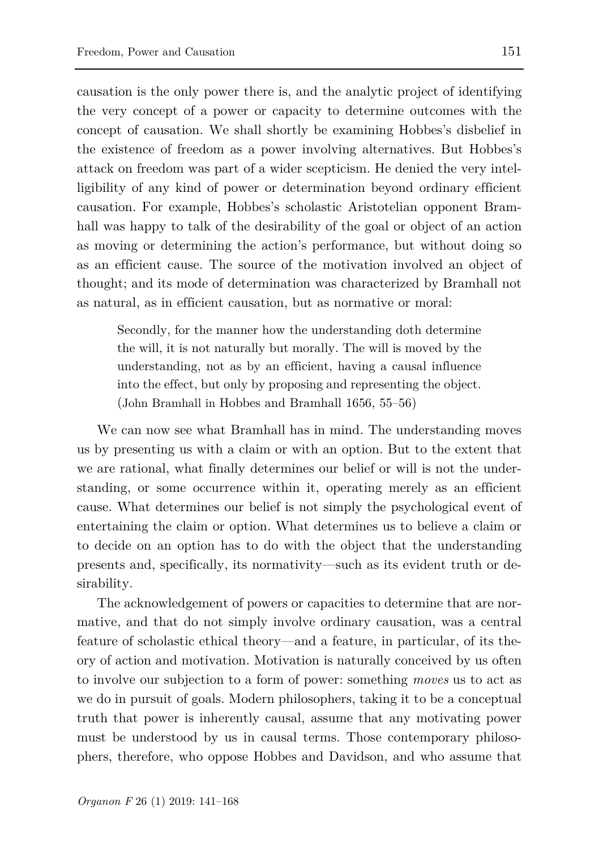causation is the only power there is, and the analytic project of identifying the very concept of a power or capacity to determine outcomes with the concept of causation. We shall shortly be examining Hobbes's disbelief in the existence of freedom as a power involving alternatives. But Hobbes's attack on freedom was part of a wider scepticism. He denied the very intelligibility of any kind of power or determination beyond ordinary efficient causation. For example, Hobbes's scholastic Aristotelian opponent Bramhall was happy to talk of the desirability of the goal or object of an action as moving or determining the action's performance, but without doing so as an efficient cause. The source of the motivation involved an object of thought; and its mode of determination was characterized by Bramhall not as natural, as in efficient causation, but as normative or moral:

Secondly, for the manner how the understanding doth determine the will, it is not naturally but morally. The will is moved by the understanding, not as by an efficient, having a causal influence into the effect, but only by proposing and representing the object. (John Bramhall in Hobbes and Bramhall 1656, 55–56)

We can now see what Bramhall has in mind. The understanding moves us by presenting us with a claim or with an option. But to the extent that we are rational, what finally determines our belief or will is not the understanding, or some occurrence within it, operating merely as an efficient cause. What determines our belief is not simply the psychological event of entertaining the claim or option. What determines us to believe a claim or to decide on an option has to do with the object that the understanding presents and, specifically, its normativity—such as its evident truth or desirability.

The acknowledgement of powers or capacities to determine that are normative, and that do not simply involve ordinary causation, was a central feature of scholastic ethical theory—and a feature, in particular, of its theory of action and motivation. Motivation is naturally conceived by us often to involve our subjection to a form of power: something *moves* us to act as we do in pursuit of goals. Modern philosophers, taking it to be a conceptual truth that power is inherently causal, assume that any motivating power must be understood by us in causal terms. Those contemporary philosophers, therefore, who oppose Hobbes and Davidson, and who assume that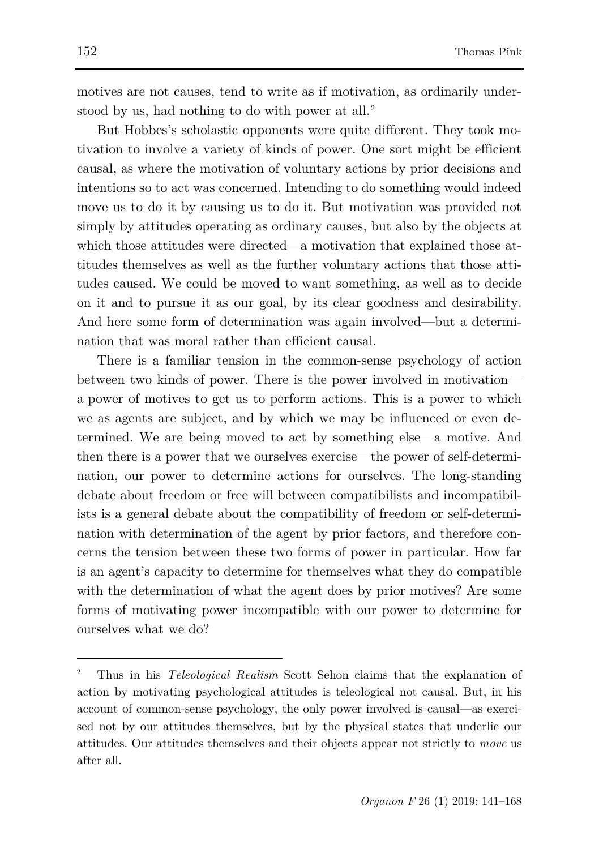motives are not causes, tend to write as if motivation, as ordinarily under-stood by us, had nothing to do with power at all.<sup>[2](#page-11-0)</sup>

But Hobbes's scholastic opponents were quite different. They took motivation to involve a variety of kinds of power. One sort might be efficient causal, as where the motivation of voluntary actions by prior decisions and intentions so to act was concerned. Intending to do something would indeed move us to do it by causing us to do it. But motivation was provided not simply by attitudes operating as ordinary causes, but also by the objects at which those attitudes were directed—a motivation that explained those attitudes themselves as well as the further voluntary actions that those attitudes caused. We could be moved to want something, as well as to decide on it and to pursue it as our goal, by its clear goodness and desirability. And here some form of determination was again involved—but a determination that was moral rather than efficient causal.

There is a familiar tension in the common-sense psychology of action between two kinds of power. There is the power involved in motivation a power of motives to get us to perform actions. This is a power to which we as agents are subject, and by which we may be influenced or even determined. We are being moved to act by something else—a motive. And then there is a power that we ourselves exercise—the power of self-determination, our power to determine actions for ourselves. The long-standing debate about freedom or free will between compatibilists and incompatibilists is a general debate about the compatibility of freedom or self-determination with determination of the agent by prior factors, and therefore concerns the tension between these two forms of power in particular. How far is an agent's capacity to determine for themselves what they do compatible with the determination of what the agent does by prior motives? Are some forms of motivating power incompatible with our power to determine for ourselves what we do?

l

<span id="page-11-0"></span><sup>2</sup> Thus in his *Teleological Realism* Scott Sehon claims that the explanation of action by motivating psychological attitudes is teleological not causal. But, in his account of common-sense psychology, the only power involved is causal—as exercised not by our attitudes themselves, but by the physical states that underlie our attitudes. Our attitudes themselves and their objects appear not strictly to *move* us after all.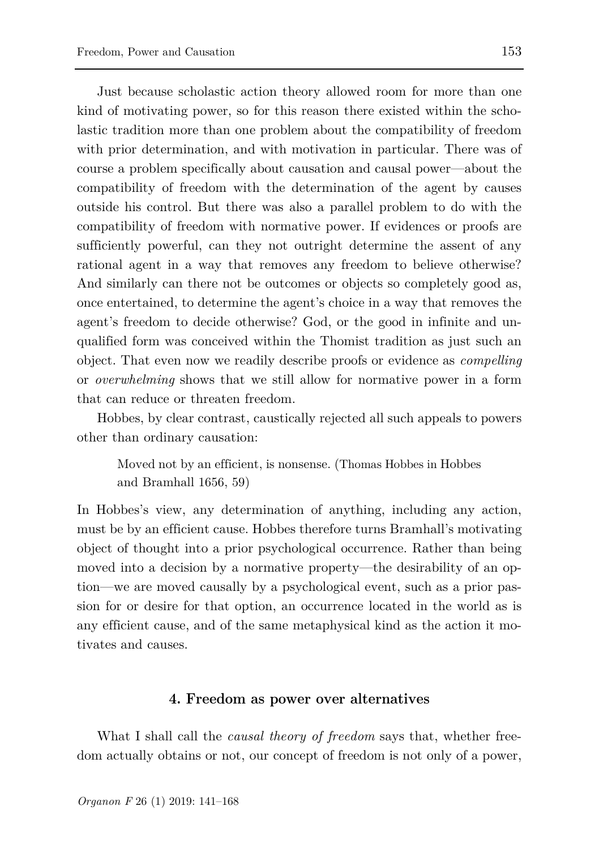Just because scholastic action theory allowed room for more than one kind of motivating power, so for this reason there existed within the scholastic tradition more than one problem about the compatibility of freedom with prior determination, and with motivation in particular. There was of course a problem specifically about causation and causal power—about the compatibility of freedom with the determination of the agent by causes outside his control. But there was also a parallel problem to do with the compatibility of freedom with normative power. If evidences or proofs are sufficiently powerful, can they not outright determine the assent of any rational agent in a way that removes any freedom to believe otherwise? And similarly can there not be outcomes or objects so completely good as, once entertained, to determine the agent's choice in a way that removes the agent's freedom to decide otherwise? God, or the good in infinite and unqualified form was conceived within the Thomist tradition as just such an object. That even now we readily describe proofs or evidence as *compelling* or *overwhelming* shows that we still allow for normative power in a form that can reduce or threaten freedom.

Hobbes, by clear contrast, caustically rejected all such appeals to powers other than ordinary causation:

Moved not by an efficient, is nonsense. (Thomas Hobbes in Hobbes and Bramhall 1656, 59)

In Hobbes's view, any determination of anything, including any action, must be by an efficient cause. Hobbes therefore turns Bramhall's motivating object of thought into a prior psychological occurrence. Rather than being moved into a decision by a normative property—the desirability of an option—we are moved causally by a psychological event, such as a prior passion for or desire for that option, an occurrence located in the world as is any efficient cause, and of the same metaphysical kind as the action it motivates and causes.

#### **4. Freedom as power over alternatives**

What I shall call the *causal theory of freedom* says that, whether freedom actually obtains or not, our concept of freedom is not only of a power,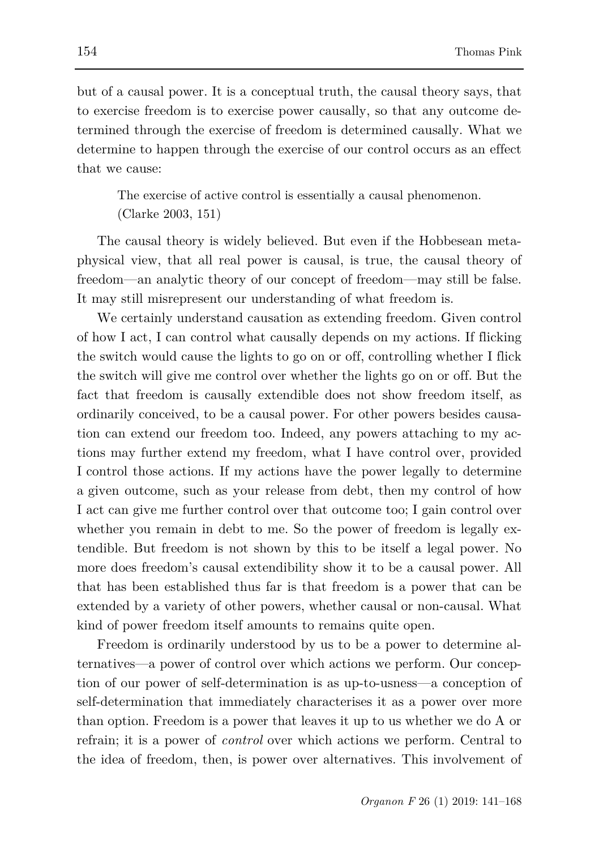but of a causal power. It is a conceptual truth, the causal theory says, that to exercise freedom is to exercise power causally, so that any outcome determined through the exercise of freedom is determined causally. What we determine to happen through the exercise of our control occurs as an effect that we cause:

The exercise of active control is essentially a causal phenomenon. (Clarke 2003, 151)

The causal theory is widely believed. But even if the Hobbesean metaphysical view, that all real power is causal, is true, the causal theory of freedom—an analytic theory of our concept of freedom—may still be false. It may still misrepresent our understanding of what freedom is.

We certainly understand causation as extending freedom. Given control of how I act, I can control what causally depends on my actions. If flicking the switch would cause the lights to go on or off, controlling whether I flick the switch will give me control over whether the lights go on or off. But the fact that freedom is causally extendible does not show freedom itself, as ordinarily conceived, to be a causal power. For other powers besides causation can extend our freedom too. Indeed, any powers attaching to my actions may further extend my freedom, what I have control over, provided I control those actions. If my actions have the power legally to determine a given outcome, such as your release from debt, then my control of how I act can give me further control over that outcome too; I gain control over whether you remain in debt to me. So the power of freedom is legally extendible. But freedom is not shown by this to be itself a legal power. No more does freedom's causal extendibility show it to be a causal power. All that has been established thus far is that freedom is a power that can be extended by a variety of other powers, whether causal or non-causal. What kind of power freedom itself amounts to remains quite open.

Freedom is ordinarily understood by us to be a power to determine alternatives—a power of control over which actions we perform. Our conception of our power of self-determination is as up-to-usness—a conception of self-determination that immediately characterises it as a power over more than option. Freedom is a power that leaves it up to us whether we do A or refrain; it is a power of *control* over which actions we perform. Central to the idea of freedom, then, is power over alternatives. This involvement of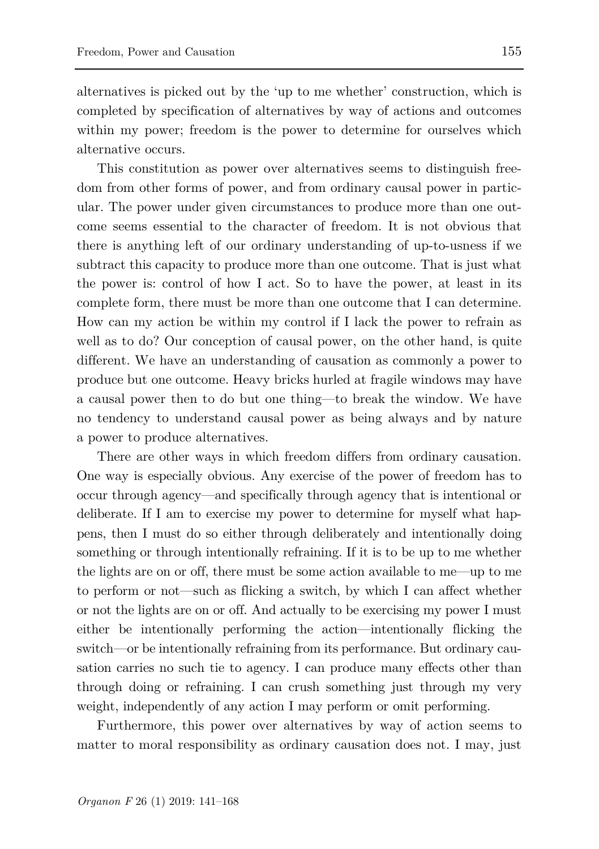alternatives is picked out by the 'up to me whether' construction, which is completed by specification of alternatives by way of actions and outcomes within my power; freedom is the power to determine for ourselves which alternative occurs.

This constitution as power over alternatives seems to distinguish freedom from other forms of power, and from ordinary causal power in particular. The power under given circumstances to produce more than one outcome seems essential to the character of freedom. It is not obvious that there is anything left of our ordinary understanding of up-to-usness if we subtract this capacity to produce more than one outcome. That is just what the power is: control of how I act. So to have the power, at least in its complete form, there must be more than one outcome that I can determine. How can my action be within my control if I lack the power to refrain as well as to do? Our conception of causal power, on the other hand, is quite different. We have an understanding of causation as commonly a power to produce but one outcome. Heavy bricks hurled at fragile windows may have a causal power then to do but one thing—to break the window. We have no tendency to understand causal power as being always and by nature a power to produce alternatives.

There are other ways in which freedom differs from ordinary causation. One way is especially obvious. Any exercise of the power of freedom has to occur through agency—and specifically through agency that is intentional or deliberate. If I am to exercise my power to determine for myself what happens, then I must do so either through deliberately and intentionally doing something or through intentionally refraining. If it is to be up to me whether the lights are on or off, there must be some action available to me—up to me to perform or not—such as flicking a switch, by which I can affect whether or not the lights are on or off. And actually to be exercising my power I must either be intentionally performing the action—intentionally flicking the switch—or be intentionally refraining from its performance. But ordinary causation carries no such tie to agency. I can produce many effects other than through doing or refraining. I can crush something just through my very weight, independently of any action I may perform or omit performing.

Furthermore, this power over alternatives by way of action seems to matter to moral responsibility as ordinary causation does not. I may, just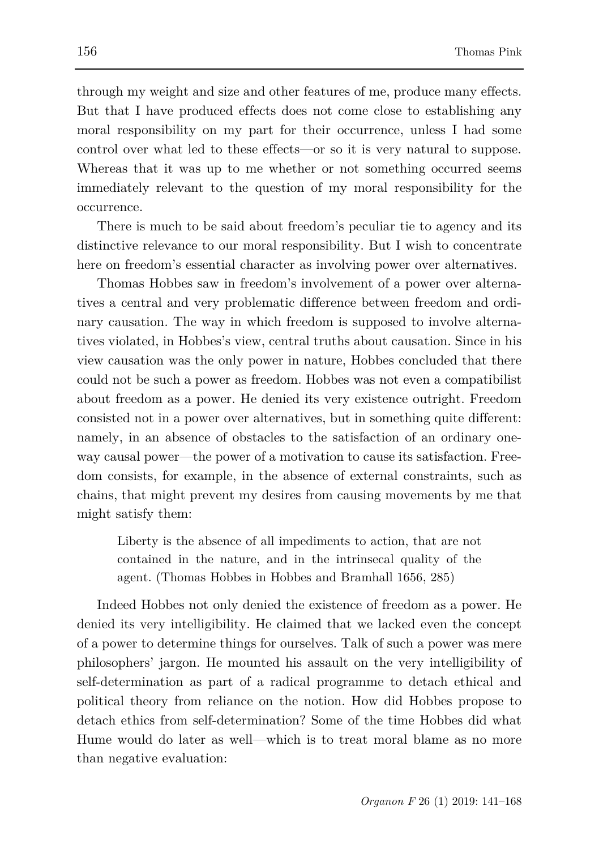through my weight and size and other features of me, produce many effects. But that I have produced effects does not come close to establishing any moral responsibility on my part for their occurrence, unless I had some control over what led to these effects—or so it is very natural to suppose. Whereas that it was up to me whether or not something occurred seems immediately relevant to the question of my moral responsibility for the occurrence.

There is much to be said about freedom's peculiar tie to agency and its distinctive relevance to our moral responsibility. But I wish to concentrate here on freedom's essential character as involving power over alternatives.

Thomas Hobbes saw in freedom's involvement of a power over alternatives a central and very problematic difference between freedom and ordinary causation. The way in which freedom is supposed to involve alternatives violated, in Hobbes's view, central truths about causation. Since in his view causation was the only power in nature, Hobbes concluded that there could not be such a power as freedom. Hobbes was not even a compatibilist about freedom as a power. He denied its very existence outright. Freedom consisted not in a power over alternatives, but in something quite different: namely, in an absence of obstacles to the satisfaction of an ordinary oneway causal power—the power of a motivation to cause its satisfaction. Freedom consists, for example, in the absence of external constraints, such as chains, that might prevent my desires from causing movements by me that might satisfy them:

Liberty is the absence of all impediments to action, that are not contained in the nature, and in the intrinsecal quality of the agent. (Thomas Hobbes in Hobbes and Bramhall 1656, 285)

Indeed Hobbes not only denied the existence of freedom as a power. He denied its very intelligibility. He claimed that we lacked even the concept of a power to determine things for ourselves. Talk of such a power was mere philosophers' jargon. He mounted his assault on the very intelligibility of self-determination as part of a radical programme to detach ethical and political theory from reliance on the notion. How did Hobbes propose to detach ethics from self-determination? Some of the time Hobbes did what Hume would do later as well—which is to treat moral blame as no more than negative evaluation: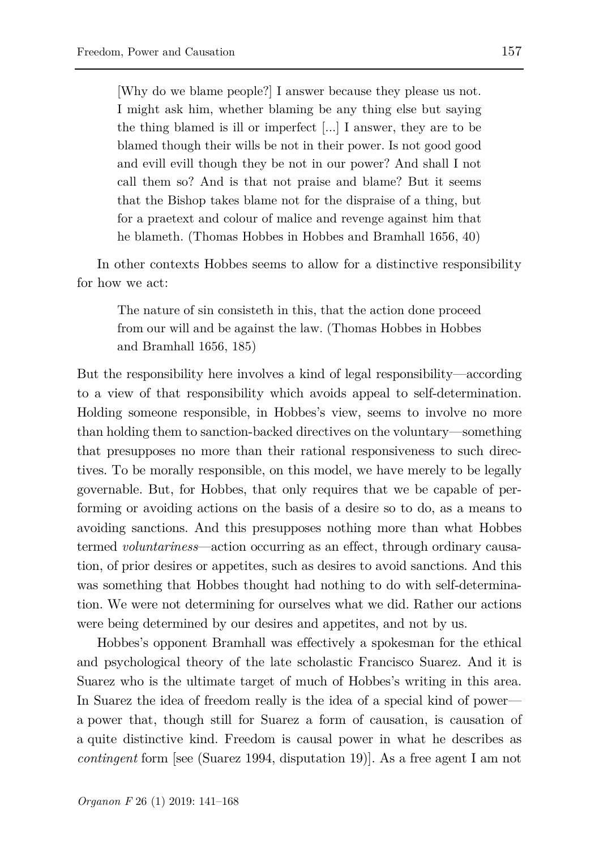[Why do we blame people?] I answer because they please us not. I might ask him, whether blaming be any thing else but saying the thing blamed is ill or imperfect [...] I answer, they are to be blamed though their wills be not in their power. Is not good good and evill evill though they be not in our power? And shall I not call them so? And is that not praise and blame? But it seems that the Bishop takes blame not for the dispraise of a thing, but for a praetext and colour of malice and revenge against him that he blameth. (Thomas Hobbes in Hobbes and Bramhall 1656, 40)

In other contexts Hobbes seems to allow for a distinctive responsibility for how we act:

The nature of sin consisteth in this, that the action done proceed from our will and be against the law. (Thomas Hobbes in Hobbes and Bramhall 1656, 185)

But the responsibility here involves a kind of legal responsibility—according to a view of that responsibility which avoids appeal to self-determination. Holding someone responsible, in Hobbes's view, seems to involve no more than holding them to sanction-backed directives on the voluntary—something that presupposes no more than their rational responsiveness to such directives. To be morally responsible, on this model, we have merely to be legally governable. But, for Hobbes, that only requires that we be capable of performing or avoiding actions on the basis of a desire so to do, as a means to avoiding sanctions. And this presupposes nothing more than what Hobbes termed *voluntariness*—action occurring as an effect, through ordinary causation, of prior desires or appetites, such as desires to avoid sanctions. And this was something that Hobbes thought had nothing to do with self-determination. We were not determining for ourselves what we did. Rather our actions were being determined by our desires and appetites, and not by us.

Hobbes's opponent Bramhall was effectively a spokesman for the ethical and psychological theory of the late scholastic Francisco Suarez. And it is Suarez who is the ultimate target of much of Hobbes's writing in this area. In Suarez the idea of freedom really is the idea of a special kind of power a power that, though still for Suarez a form of causation, is causation of a quite distinctive kind. Freedom is causal power in what he describes as *contingent* form [see (Suarez 1994, disputation 19)]. As a free agent I am not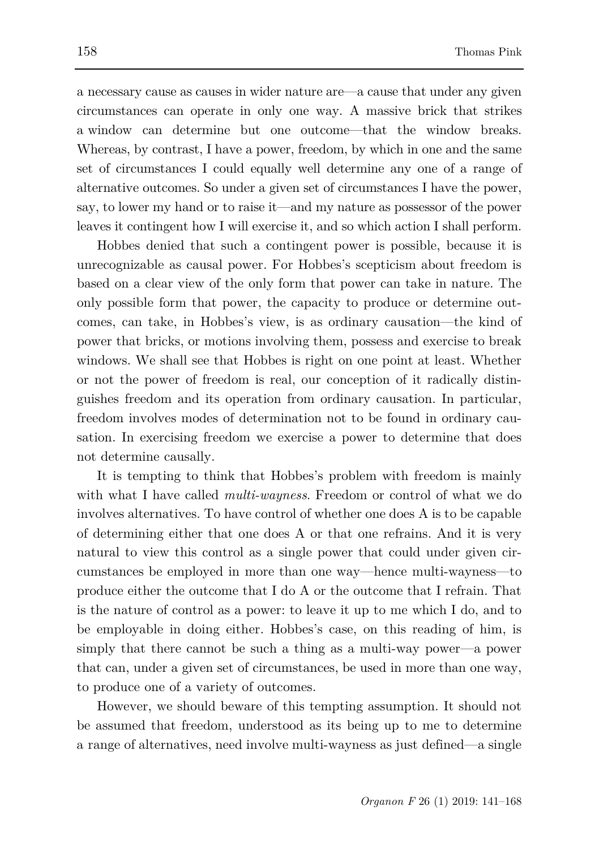a necessary cause as causes in wider nature are—a cause that under any given circumstances can operate in only one way. A massive brick that strikes a window can determine but one outcome—that the window breaks. Whereas, by contrast, I have a power, freedom, by which in one and the same set of circumstances I could equally well determine any one of a range of alternative outcomes. So under a given set of circumstances I have the power, say, to lower my hand or to raise it—and my nature as possessor of the power leaves it contingent how I will exercise it, and so which action I shall perform.

Hobbes denied that such a contingent power is possible, because it is unrecognizable as causal power. For Hobbes's scepticism about freedom is based on a clear view of the only form that power can take in nature. The only possible form that power, the capacity to produce or determine outcomes, can take, in Hobbes's view, is as ordinary causation—the kind of power that bricks, or motions involving them, possess and exercise to break windows. We shall see that Hobbes is right on one point at least. Whether or not the power of freedom is real, our conception of it radically distinguishes freedom and its operation from ordinary causation. In particular, freedom involves modes of determination not to be found in ordinary causation. In exercising freedom we exercise a power to determine that does not determine causally.

It is tempting to think that Hobbes's problem with freedom is mainly with what I have called *multi-wayness*. Freedom or control of what we do involves alternatives. To have control of whether one does A is to be capable of determining either that one does A or that one refrains. And it is very natural to view this control as a single power that could under given circumstances be employed in more than one way—hence multi-wayness—to produce either the outcome that I do A or the outcome that I refrain. That is the nature of control as a power: to leave it up to me which I do, and to be employable in doing either. Hobbes's case, on this reading of him, is simply that there cannot be such a thing as a multi-way power—a power that can, under a given set of circumstances, be used in more than one way, to produce one of a variety of outcomes.

However, we should beware of this tempting assumption. It should not be assumed that freedom, understood as its being up to me to determine a range of alternatives, need involve multi-wayness as just defined—a single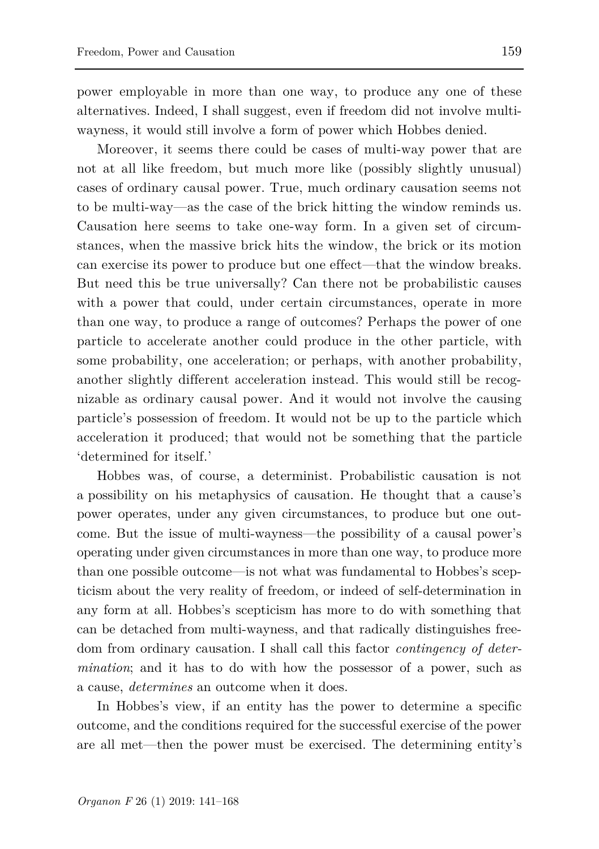power employable in more than one way, to produce any one of these alternatives. Indeed, I shall suggest, even if freedom did not involve multiwayness, it would still involve a form of power which Hobbes denied.

Moreover, it seems there could be cases of multi-way power that are not at all like freedom, but much more like (possibly slightly unusual) cases of ordinary causal power. True, much ordinary causation seems not to be multi-way—as the case of the brick hitting the window reminds us. Causation here seems to take one-way form. In a given set of circumstances, when the massive brick hits the window, the brick or its motion can exercise its power to produce but one effect—that the window breaks. But need this be true universally? Can there not be probabilistic causes with a power that could, under certain circumstances, operate in more than one way, to produce a range of outcomes? Perhaps the power of one particle to accelerate another could produce in the other particle, with some probability, one acceleration; or perhaps, with another probability, another slightly different acceleration instead. This would still be recognizable as ordinary causal power. And it would not involve the causing particle's possession of freedom. It would not be up to the particle which acceleration it produced; that would not be something that the particle 'determined for itself.'

Hobbes was, of course, a determinist. Probabilistic causation is not a possibility on his metaphysics of causation. He thought that a cause's power operates, under any given circumstances, to produce but one outcome. But the issue of multi-wayness—the possibility of a causal power's operating under given circumstances in more than one way, to produce more than one possible outcome—is not what was fundamental to Hobbes's scepticism about the very reality of freedom, or indeed of self-determination in any form at all. Hobbes's scepticism has more to do with something that can be detached from multi-wayness, and that radically distinguishes freedom from ordinary causation. I shall call this factor *contingency of determination*; and it has to do with how the possessor of a power, such as a cause, *determines* an outcome when it does.

In Hobbes's view, if an entity has the power to determine a specific outcome, and the conditions required for the successful exercise of the power are all met—then the power must be exercised. The determining entity's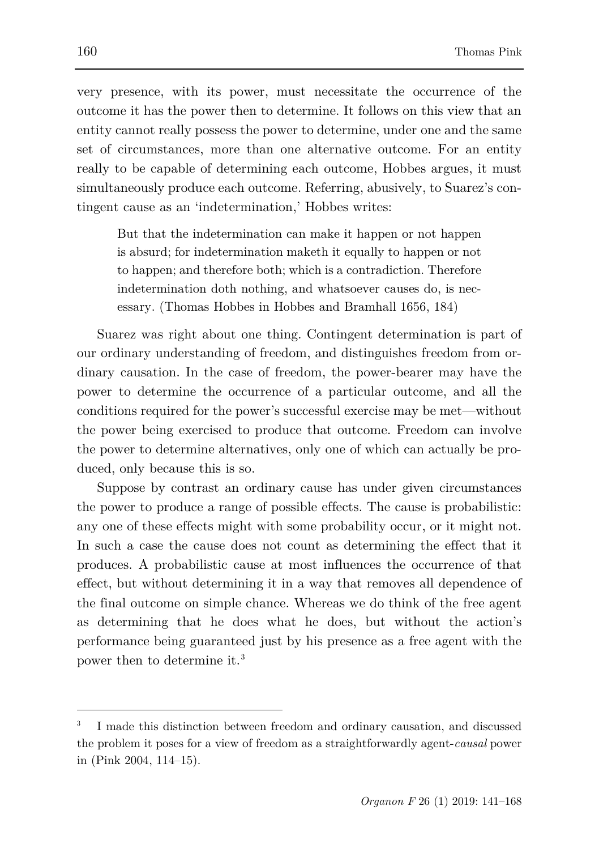very presence, with its power, must necessitate the occurrence of the outcome it has the power then to determine. It follows on this view that an entity cannot really possess the power to determine, under one and the same set of circumstances, more than one alternative outcome. For an entity really to be capable of determining each outcome, Hobbes argues, it must simultaneously produce each outcome. Referring, abusively, to Suarez's contingent cause as an 'indetermination,' Hobbes writes:

But that the indetermination can make it happen or not happen is absurd; for indetermination maketh it equally to happen or not to happen; and therefore both; which is a contradiction. Therefore indetermination doth nothing, and whatsoever causes do, is necessary. (Thomas Hobbes in Hobbes and Bramhall 1656, 184)

Suarez was right about one thing. Contingent determination is part of our ordinary understanding of freedom, and distinguishes freedom from ordinary causation. In the case of freedom, the power-bearer may have the power to determine the occurrence of a particular outcome, and all the conditions required for the power's successful exercise may be met—without the power being exercised to produce that outcome. Freedom can involve the power to determine alternatives, only one of which can actually be produced, only because this is so.

Suppose by contrast an ordinary cause has under given circumstances the power to produce a range of possible effects. The cause is probabilistic: any one of these effects might with some probability occur, or it might not. In such a case the cause does not count as determining the effect that it produces. A probabilistic cause at most influences the occurrence of that effect, but without determining it in a way that removes all dependence of the final outcome on simple chance. Whereas we do think of the free agent as determining that he does what he does, but without the action's performance being guaranteed just by his presence as a free agent with the power then to determine it.<sup>[3](#page-19-0)</sup>

l

<span id="page-19-0"></span><sup>3</sup> I made this distinction between freedom and ordinary causation, and discussed the problem it poses for a view of freedom as a straightforwardly agent-*causal* power in (Pink 2004, 114–15).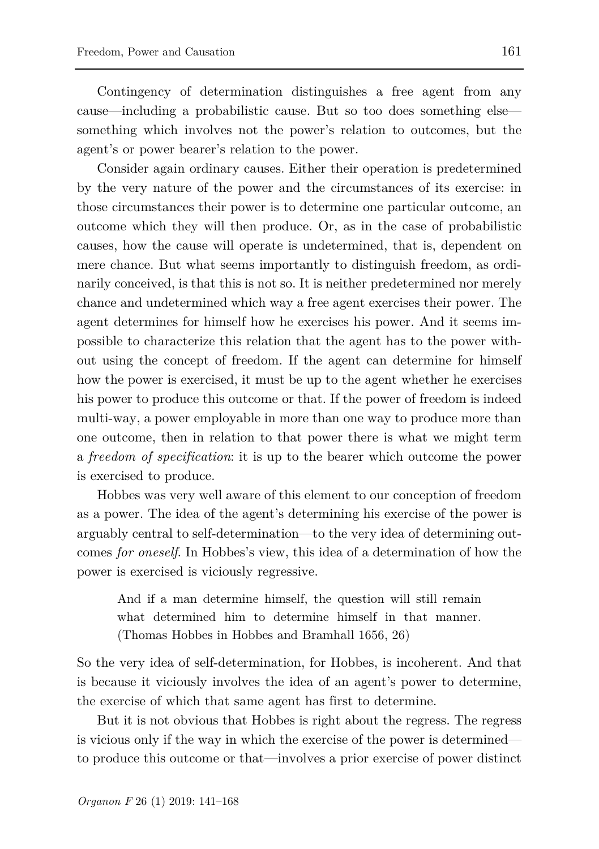Contingency of determination distinguishes a free agent from any cause—including a probabilistic cause. But so too does something else something which involves not the power's relation to outcomes, but the agent's or power bearer's relation to the power.

Consider again ordinary causes. Either their operation is predetermined by the very nature of the power and the circumstances of its exercise: in those circumstances their power is to determine one particular outcome, an outcome which they will then produce. Or, as in the case of probabilistic causes, how the cause will operate is undetermined, that is, dependent on mere chance. But what seems importantly to distinguish freedom, as ordinarily conceived, is that this is not so. It is neither predetermined nor merely chance and undetermined which way a free agent exercises their power. The agent determines for himself how he exercises his power. And it seems impossible to characterize this relation that the agent has to the power without using the concept of freedom. If the agent can determine for himself how the power is exercised, it must be up to the agent whether he exercises his power to produce this outcome or that. If the power of freedom is indeed multi-way, a power employable in more than one way to produce more than one outcome, then in relation to that power there is what we might term a *freedom of specification*: it is up to the bearer which outcome the power is exercised to produce.

Hobbes was very well aware of this element to our conception of freedom as a power. The idea of the agent's determining his exercise of the power is arguably central to self-determination—to the very idea of determining outcomes *for oneself*. In Hobbes's view, this idea of a determination of how the power is exercised is viciously regressive.

And if a man determine himself, the question will still remain what determined him to determine himself in that manner. (Thomas Hobbes in Hobbes and Bramhall 1656, 26)

So the very idea of self-determination, for Hobbes, is incoherent. And that is because it viciously involves the idea of an agent's power to determine, the exercise of which that same agent has first to determine.

But it is not obvious that Hobbes is right about the regress. The regress is vicious only if the way in which the exercise of the power is determined to produce this outcome or that—involves a prior exercise of power distinct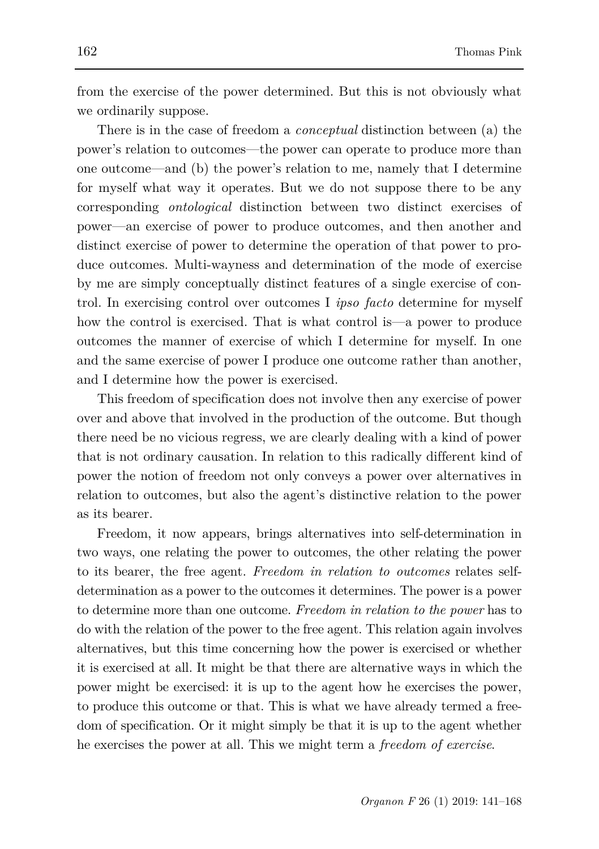from the exercise of the power determined. But this is not obviously what we ordinarily suppose.

There is in the case of freedom a *conceptual* distinction between (a) the power's relation to outcomes—the power can operate to produce more than one outcome—and (b) the power's relation to me, namely that I determine for myself what way it operates. But we do not suppose there to be any corresponding *ontological* distinction between two distinct exercises of power—an exercise of power to produce outcomes, and then another and distinct exercise of power to determine the operation of that power to produce outcomes. Multi-wayness and determination of the mode of exercise by me are simply conceptually distinct features of a single exercise of control. In exercising control over outcomes I *ipso facto* determine for myself how the control is exercised. That is what control is—a power to produce outcomes the manner of exercise of which I determine for myself. In one and the same exercise of power I produce one outcome rather than another, and I determine how the power is exercised.

This freedom of specification does not involve then any exercise of power over and above that involved in the production of the outcome. But though there need be no vicious regress, we are clearly dealing with a kind of power that is not ordinary causation. In relation to this radically different kind of power the notion of freedom not only conveys a power over alternatives in relation to outcomes, but also the agent's distinctive relation to the power as its bearer.

Freedom, it now appears, brings alternatives into self-determination in two ways, one relating the power to outcomes, the other relating the power to its bearer, the free agent. *Freedom in relation to outcomes* relates selfdetermination as a power to the outcomes it determines. The power is a power to determine more than one outcome. *Freedom in relation to the power* has to do with the relation of the power to the free agent. This relation again involves alternatives, but this time concerning how the power is exercised or whether it is exercised at all. It might be that there are alternative ways in which the power might be exercised: it is up to the agent how he exercises the power, to produce this outcome or that. This is what we have already termed a freedom of specification. Or it might simply be that it is up to the agent whether he exercises the power at all. This we might term a *freedom of exercise*.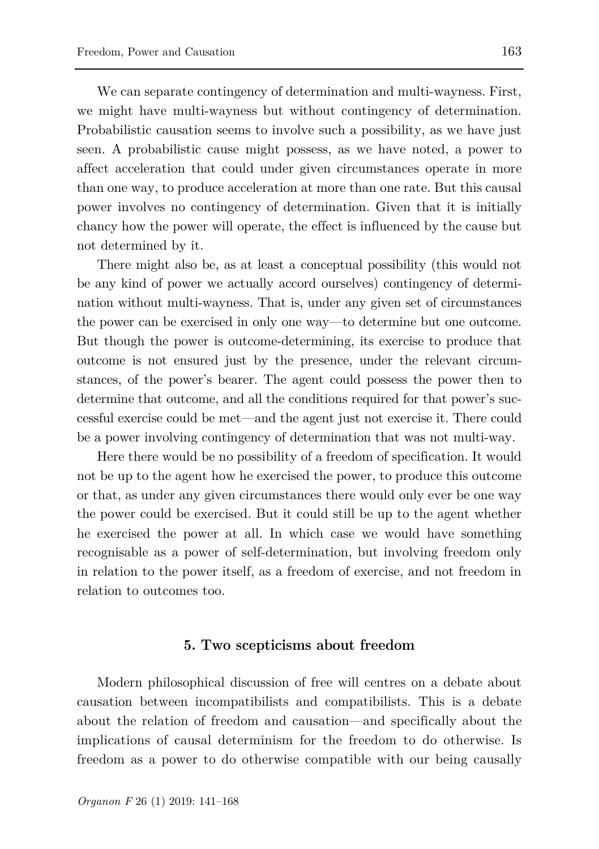We can separate contingency of determination and multi-wayness. First, we might have multi-wayness but without contingency of determination. Probabilistic causation seems to involve such a possibility, as we have just seen. A probabilistic cause might possess, as we have noted, a power to affect acceleration that could under given circumstances operate in more than one way, to produce acceleration at more than one rate. But this causal power involves no contingency of determination. Given that it is initially chancy how the power will operate, the effect is influenced by the cause but not determined by it.

There might also be, as at least a conceptual possibility (this would not be any kind of power we actually accord ourselves) contingency of determination without multi-wayness. That is, under any given set of circumstances the power can be exercised in only one way—to determine but one outcome. But though the power is outcome-determining, its exercise to produce that outcome is not ensured just by the presence, under the relevant circumstances, of the power's bearer. The agent could possess the power then to determine that outcome, and all the conditions required for that power's successful exercise could be met—and the agent just not exercise it. There could be a power involving contingency of determination that was not multi-way.

Here there would be no possibility of a freedom of specification. It would not be up to the agent how he exercised the power, to produce this outcome or that, as under any given circumstances there would only ever be one way the power could be exercised. But it could still be up to the agent whether he exercised the power at all. In which case we would have something recognisable as a power of self-determination, but involving freedom only in relation to the power itself, as a freedom of exercise, and not freedom in relation to outcomes too.

### **5. Two scepticisms about freedom**

Modern philosophical discussion of free will centres on a debate about causation between incompatibilists and compatibilists. This is a debate about the relation of freedom and causation—and specifically about the implications of causal determinism for the freedom to do otherwise. Is freedom as a power to do otherwise compatible with our being causally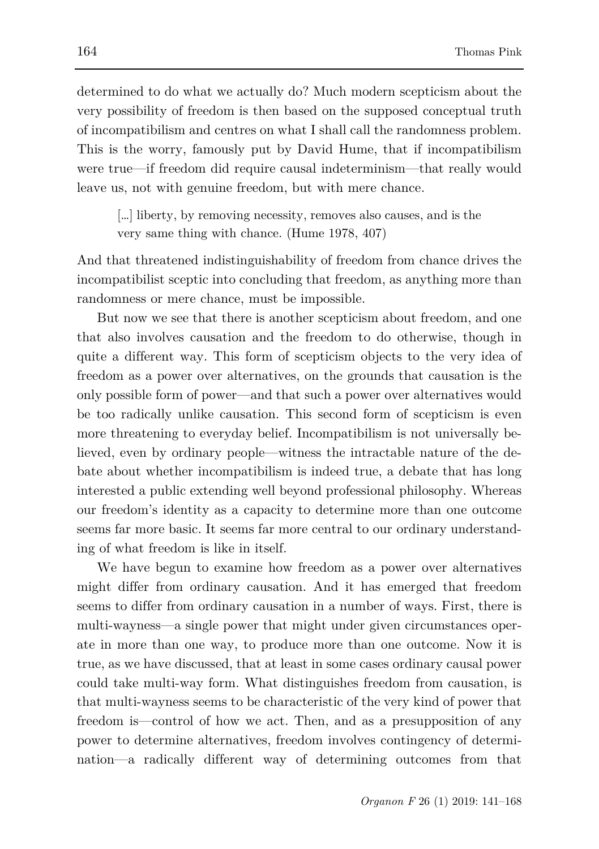determined to do what we actually do? Much modern scepticism about the very possibility of freedom is then based on the supposed conceptual truth of incompatibilism and centres on what I shall call the randomness problem. This is the worry, famously put by David Hume, that if incompatibilism were true—if freedom did require causal indeterminism—that really would leave us, not with genuine freedom, but with mere chance.

[…] liberty, by removing necessity, removes also causes, and is the very same thing with chance. (Hume 1978, 407)

And that threatened indistinguishability of freedom from chance drives the incompatibilist sceptic into concluding that freedom, as anything more than randomness or mere chance, must be impossible.

But now we see that there is another scepticism about freedom, and one that also involves causation and the freedom to do otherwise, though in quite a different way. This form of scepticism objects to the very idea of freedom as a power over alternatives, on the grounds that causation is the only possible form of power—and that such a power over alternatives would be too radically unlike causation. This second form of scepticism is even more threatening to everyday belief. Incompatibilism is not universally believed, even by ordinary people—witness the intractable nature of the debate about whether incompatibilism is indeed true, a debate that has long interested a public extending well beyond professional philosophy. Whereas our freedom's identity as a capacity to determine more than one outcome seems far more basic. It seems far more central to our ordinary understanding of what freedom is like in itself.

We have begun to examine how freedom as a power over alternatives might differ from ordinary causation. And it has emerged that freedom seems to differ from ordinary causation in a number of ways. First, there is multi-wayness—a single power that might under given circumstances operate in more than one way, to produce more than one outcome. Now it is true, as we have discussed, that at least in some cases ordinary causal power could take multi-way form. What distinguishes freedom from causation, is that multi-wayness seems to be characteristic of the very kind of power that freedom is—control of how we act. Then, and as a presupposition of any power to determine alternatives, freedom involves contingency of determination—a radically different way of determining outcomes from that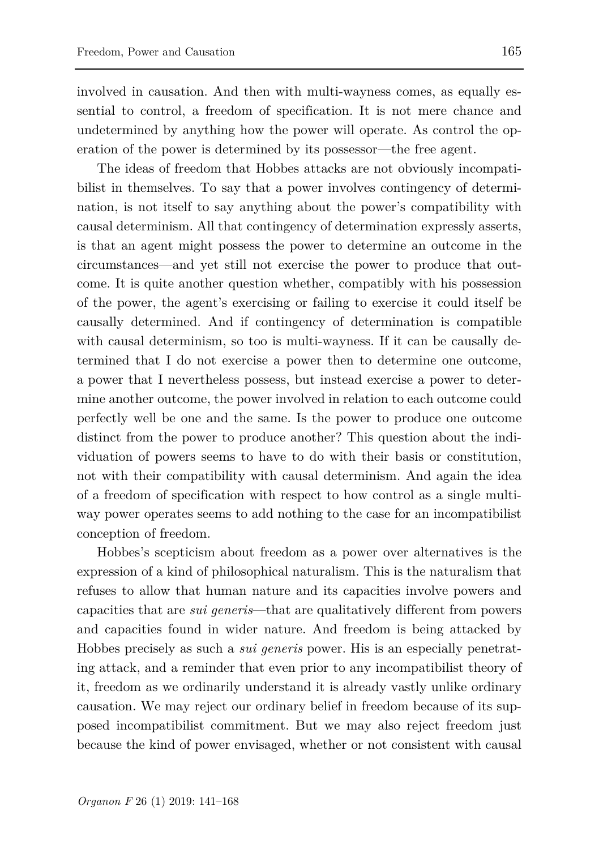involved in causation. And then with multi-wayness comes, as equally essential to control, a freedom of specification. It is not mere chance and undetermined by anything how the power will operate. As control the op-

eration of the power is determined by its possessor—the free agent.

The ideas of freedom that Hobbes attacks are not obviously incompatibilist in themselves. To say that a power involves contingency of determination, is not itself to say anything about the power's compatibility with causal determinism. All that contingency of determination expressly asserts, is that an agent might possess the power to determine an outcome in the circumstances—and yet still not exercise the power to produce that outcome. It is quite another question whether, compatibly with his possession of the power, the agent's exercising or failing to exercise it could itself be causally determined. And if contingency of determination is compatible with causal determinism, so too is multi-wayness. If it can be causally determined that I do not exercise a power then to determine one outcome, a power that I nevertheless possess, but instead exercise a power to determine another outcome, the power involved in relation to each outcome could perfectly well be one and the same. Is the power to produce one outcome distinct from the power to produce another? This question about the individuation of powers seems to have to do with their basis or constitution, not with their compatibility with causal determinism. And again the idea of a freedom of specification with respect to how control as a single multiway power operates seems to add nothing to the case for an incompatibilist conception of freedom.

Hobbes's scepticism about freedom as a power over alternatives is the expression of a kind of philosophical naturalism. This is the naturalism that refuses to allow that human nature and its capacities involve powers and capacities that are *sui generis*—that are qualitatively different from powers and capacities found in wider nature. And freedom is being attacked by Hobbes precisely as such a *sui generis* power. His is an especially penetrating attack, and a reminder that even prior to any incompatibilist theory of it, freedom as we ordinarily understand it is already vastly unlike ordinary causation. We may reject our ordinary belief in freedom because of its supposed incompatibilist commitment. But we may also reject freedom just because the kind of power envisaged, whether or not consistent with causal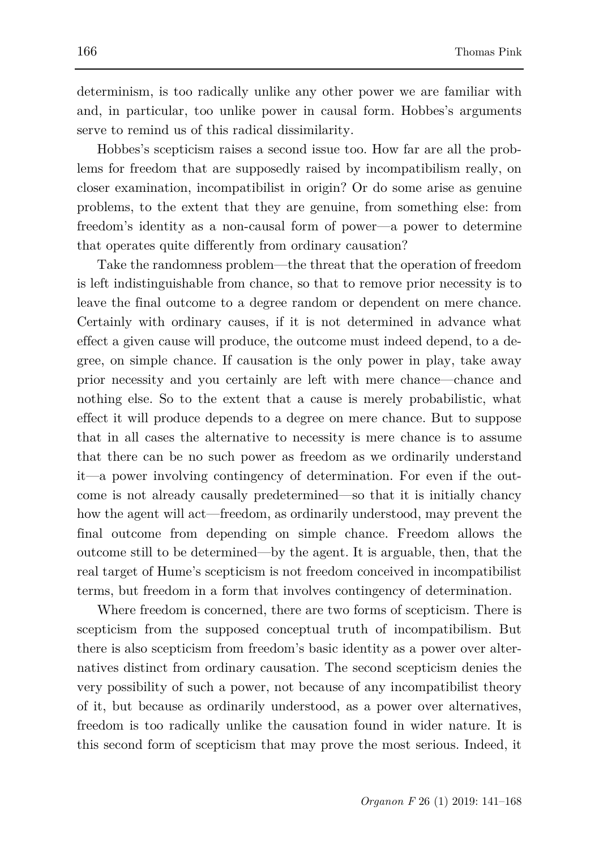determinism, is too radically unlike any other power we are familiar with and, in particular, too unlike power in causal form. Hobbes's arguments serve to remind us of this radical dissimilarity.

Hobbes's scepticism raises a second issue too. How far are all the problems for freedom that are supposedly raised by incompatibilism really, on closer examination, incompatibilist in origin? Or do some arise as genuine problems, to the extent that they are genuine, from something else: from freedom's identity as a non-causal form of power—a power to determine that operates quite differently from ordinary causation?

Take the randomness problem—the threat that the operation of freedom is left indistinguishable from chance, so that to remove prior necessity is to leave the final outcome to a degree random or dependent on mere chance. Certainly with ordinary causes, if it is not determined in advance what effect a given cause will produce, the outcome must indeed depend, to a degree, on simple chance. If causation is the only power in play, take away prior necessity and you certainly are left with mere chance—chance and nothing else. So to the extent that a cause is merely probabilistic, what effect it will produce depends to a degree on mere chance. But to suppose that in all cases the alternative to necessity is mere chance is to assume that there can be no such power as freedom as we ordinarily understand it—a power involving contingency of determination. For even if the outcome is not already causally predetermined—so that it is initially chancy how the agent will act—freedom, as ordinarily understood, may prevent the final outcome from depending on simple chance. Freedom allows the outcome still to be determined—by the agent. It is arguable, then, that the real target of Hume's scepticism is not freedom conceived in incompatibilist terms, but freedom in a form that involves contingency of determination.

Where freedom is concerned, there are two forms of scepticism. There is scepticism from the supposed conceptual truth of incompatibilism. But there is also scepticism from freedom's basic identity as a power over alternatives distinct from ordinary causation. The second scepticism denies the very possibility of such a power, not because of any incompatibilist theory of it, but because as ordinarily understood, as a power over alternatives, freedom is too radically unlike the causation found in wider nature. It is this second form of scepticism that may prove the most serious. Indeed, it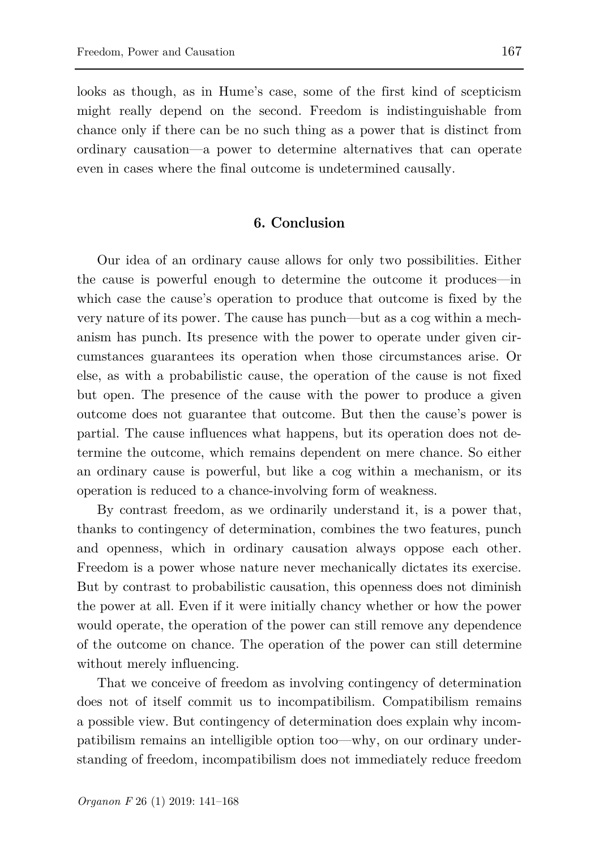looks as though, as in Hume's case, some of the first kind of scepticism might really depend on the second. Freedom is indistinguishable from chance only if there can be no such thing as a power that is distinct from ordinary causation—a power to determine alternatives that can operate even in cases where the final outcome is undetermined causally.

## **6. Conclusion**

Our idea of an ordinary cause allows for only two possibilities. Either the cause is powerful enough to determine the outcome it produces—in which case the cause's operation to produce that outcome is fixed by the very nature of its power. The cause has punch—but as a cog within a mechanism has punch. Its presence with the power to operate under given circumstances guarantees its operation when those circumstances arise. Or else, as with a probabilistic cause, the operation of the cause is not fixed but open. The presence of the cause with the power to produce a given outcome does not guarantee that outcome. But then the cause's power is partial. The cause influences what happens, but its operation does not determine the outcome, which remains dependent on mere chance. So either an ordinary cause is powerful, but like a cog within a mechanism, or its operation is reduced to a chance-involving form of weakness.

By contrast freedom, as we ordinarily understand it, is a power that, thanks to contingency of determination, combines the two features, punch and openness, which in ordinary causation always oppose each other. Freedom is a power whose nature never mechanically dictates its exercise. But by contrast to probabilistic causation, this openness does not diminish the power at all. Even if it were initially chancy whether or how the power would operate, the operation of the power can still remove any dependence of the outcome on chance. The operation of the power can still determine without merely influencing.

That we conceive of freedom as involving contingency of determination does not of itself commit us to incompatibilism. Compatibilism remains a possible view. But contingency of determination does explain why incompatibilism remains an intelligible option too—why, on our ordinary understanding of freedom, incompatibilism does not immediately reduce freedom